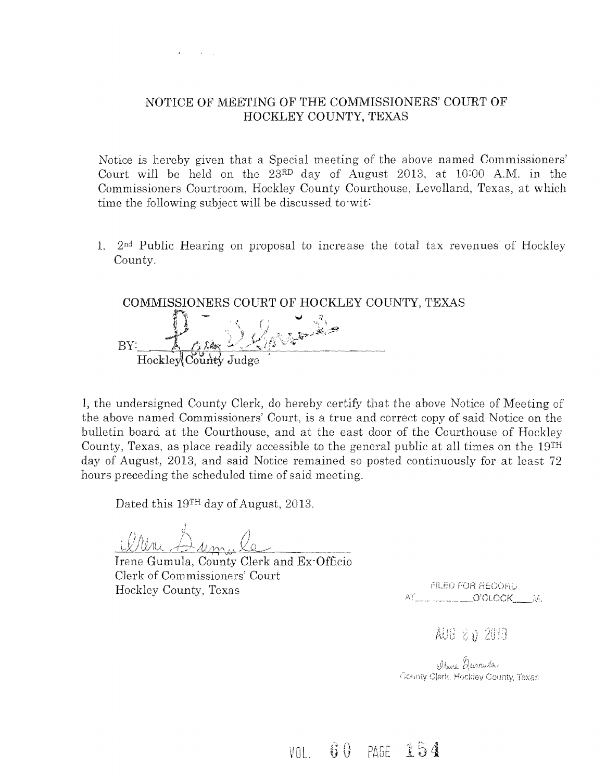

### NOTICE OF MEETING OF THE COMMISSIONERS' COURT OF HOCKLEY COUNTY, TEXAS

Notice is hereby given that a Special meeting of the above named Commissioners' Court will he held on the 23RD day of August 2013, at 10:00 A.M. in the Commissioners Courtroom, Hockley County Courthouse, Levelland, Texas, at which time the following subject will be discussed to·wit:

1.  $2<sup>nd</sup>$  Public Hearing on proposal to increase the total tax revenues of Hockley County.

COMMISSIONERS COURT OF HOCKLEY COUNTY, TEXAS BY: Hockley County Judge

1, the undersigned County Clerk, do hereby certify that the above Notice of Meeting of the above named Commissioners' Court, is a true and correct copy of said Notice on the bulletin board at the Courthouse, and at the east door of the Courthouse of Hockley County, Texas, as place readily accessible to the general public at all times on the 19TH day of August, 2013, and said Notice remained so posted continuously for at least 72 hours preceding the scheduled time of said meeting.

Dated this 19<sup>TH</sup> day of August, 2013.

Irene Gumula, Clerk of Commissioners' Court Hockley County, Texas

FILED FOR RECORD AT O'CLOCK M.

AUG 20 2019

Drene Gurnida County Clerk, Hockley County, Texas

 $VOL$   $60$  PAGE 154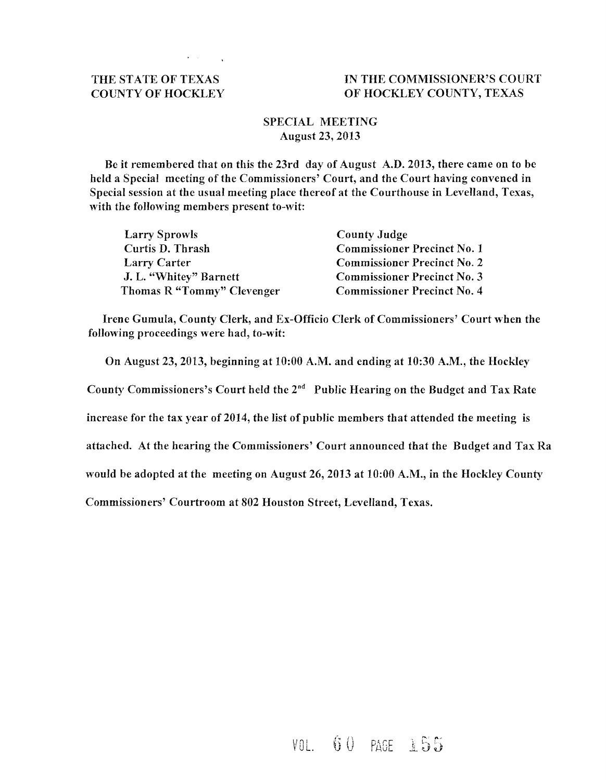#### THE STATE OF TEXAS COUNTY OF HOCKLEY

 $\mathcal{L}^{\mathcal{L}}(\mathcal{L}^{\mathcal{L}}(\mathcal{L}^{\mathcal{L}}(\mathcal{L}^{\mathcal{L}}(\mathcal{L}^{\mathcal{L}}(\mathcal{L}^{\mathcal{L}}(\mathcal{L}^{\mathcal{L}}(\mathcal{L}^{\mathcal{L}}(\mathcal{L}^{\mathcal{L}}(\mathcal{L}^{\mathcal{L}}(\mathcal{L}^{\mathcal{L}}(\mathcal{L}^{\mathcal{L}}(\mathcal{L}^{\mathcal{L}}(\mathcal{L}^{\mathcal{L}}(\mathcal{L}^{\mathcal{L}}(\mathcal{L}^{\mathcal{L}}(\mathcal{L}^{\mathcal{L$ 

#### IN THE COMMISSIONER'S COURT OF HOCKLEY COUNTY, TEXAS

#### SPECIAL MEETING August 23, 2013

Be it remembered that on this the 23rd day of August A.D. 2013, there came on to be held a Special meeting of the Commissioners' Court, and the Court having convened in Special session at the usual meeting place thereof at the Courthouse in Levelland, Texas, with the following members present to-wit:

| <b>Larry Sprowls</b>       | <b>County Judge</b>                |
|----------------------------|------------------------------------|
| Curtis D. Thrash           | <b>Commissioner Precinct No. 1</b> |
| <b>Larry Carter</b>        | <b>Commissioner Precinct No. 2</b> |
| J. L. "Whitey" Barnett     | <b>Commissioner Precinct No. 3</b> |
| Thomas R "Tommy" Clevenger | <b>Commissioner Precinct No. 4</b> |

Irene Gumula, County Clerk, and Ex-Officio Clerk of Commissioners' Court when the following proceedings were had, to-wit:

On August 23,2013, beginning at 10:00 A.M. and ending at 10:30 A.M., the Hockley

County Commissioners's Court held the  $2^{nd}$  Public Hearing on the Budget and Tax Rate

increase for the tax year of 2014, the list of public members that attended the meeting is

attached. At the hearing the Commissioners' Court announced that the Budget and Tax Ra

would be adopted at the meeting on August 26,2013 at 10:00 A.M., in the Hockley County

Commissioners' Courtroom at 802 Houston Street, Levelland, Texas.

 $V0L.$  60 PAGE 155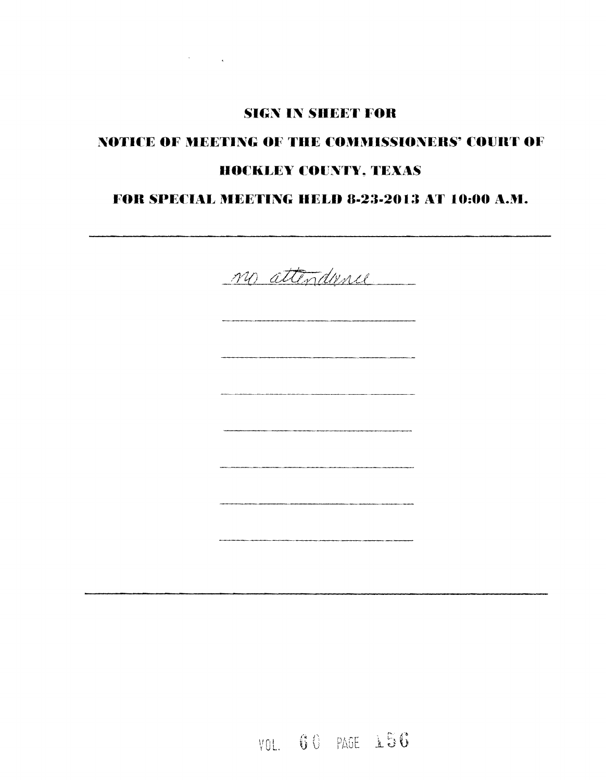## **SIGN IN SHEET FOR**

 $\label{eq:2} \mathcal{L}^{\text{max}}_{\text{max}}(\mathcal{L}^{\text{max}}_{\text{max}}) = \mathcal{L}^{\text{max}}_{\text{max}}(\mathcal{L}^{\text{max}}_{\text{max}})$ 

# NOTICE OF MEETING OF THE COMMISSIONERS' COURT OF **HOCKLEY COUNTY. TEXAS**

## FOR SPECIAL MEETING HELD 8-23-2013 AT 10:00 A.M.



VOL. 60 PAGE 156